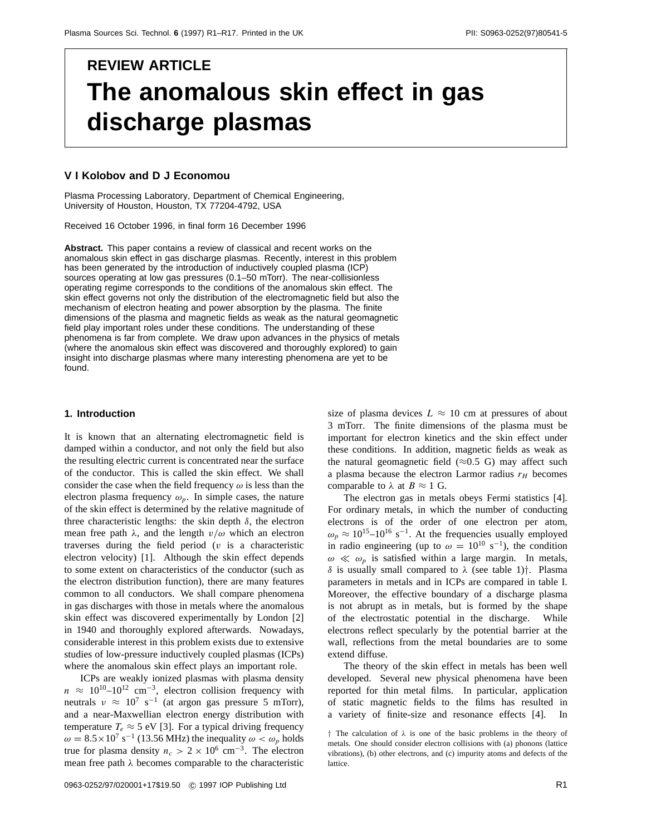# **REVIEW ARTICLE The anomalous skin effect in gas discharge plasmas**

## **V I Kolobov and D J Economou**

Plasma Processing Laboratory, Department of Chemical Engineering, University of Houston, Houston, TX 77204-4792, USA

Received 16 October 1996, in final form 16 December 1996

**Abstract.** This paper contains a review of classical and recent works on the anomalous skin effect in gas discharge plasmas. Recently, interest in this problem has been generated by the introduction of inductively coupled plasma (ICP) sources operating at low gas pressures (0.1–50 mTorr). The near-collisionless operating regime corresponds to the conditions of the anomalous skin effect. The skin effect governs not only the distribution of the electromagnetic field but also the mechanism of electron heating and power absorption by the plasma. The finite dimensions of the plasma and magnetic fields as weak as the natural geomagnetic field play important roles under these conditions. The understanding of these phenomena is far from complete. We draw upon advances in the physics of metals (where the anomalous skin effect was discovered and thoroughly explored) to gain insight into discharge plasmas where many interesting phenomena are yet to be found.

#### **1. Introduction**

It is known that an alternating electromagnetic field is damped within a conductor, and not only the field but also the resulting electric current is concentrated near the surface of the conductor. This is called the skin effect. We shall consider the case when the field frequency *ω* is less than the electron plasma frequency  $\omega_p$ . In simple cases, the nature of the skin effect is determined by the relative magnitude of three characteristic lengths: the skin depth  $\delta$ , the electron mean free path  $\lambda$ , and the length  $v/\omega$  which an electron traverses during the field period (*v* is a characteristic electron velocity) [1]. Although the skin effect depends to some extent on characteristics of the conductor (such as the electron distribution function), there are many features common to all conductors. We shall compare phenomena in gas discharges with those in metals where the anomalous skin effect was discovered experimentally by London [2] in 1940 and thoroughly explored afterwards. Nowadays, considerable interest in this problem exists due to extensive studies of low-pressure inductively coupled plasmas (ICPs) where the anomalous skin effect plays an important role.

ICPs are weakly ionized plasmas with plasma density  $n \approx 10^{10} - 10^{12}$  cm<sup>-3</sup>, electron collision frequency with neutrals  $v \approx 10^7 \text{ s}^{-1}$  (at argon gas pressure 5 mTorr), and a near-Maxwellian electron energy distribution with temperature  $T_e \approx 5$  eV [3]. For a typical driving frequency  $\omega = 8.5 \times 10^7 \text{ s}^{-1}$  (13.56 MHz) the inequality  $\omega < \omega_p$  holds true for plasma density  $n_c > 2 \times 10^6$  cm<sup>-3</sup>. The electron mean free path *λ* becomes comparable to the characteristic

size of plasma devices  $L \approx 10$  cm at pressures of about 3 mTorr. The finite dimensions of the plasma must be important for electron kinetics and the skin effect under these conditions. In addition, magnetic fields as weak as the natural geomagnetic field  $(\approx 0.5 \text{ G})$  may affect such a plasma because the electron Larmor radius  $r_H$  becomes comparable to  $\lambda$  at  $B \approx 1$  G.

The electron gas in metals obeys Fermi statistics [4]. For ordinary metals, in which the number of conducting electrons is of the order of one electron per atom,  $\omega_p \approx 10^{15}$ –10<sup>16</sup> s<sup>-1</sup>. At the frequencies usually employed in radio engineering (up to  $\omega = 10^{10} \text{ s}^{-1}$ ), the condition  $\omega \ll \omega_p$  is satisfied within a large margin. In metals, *δ* is usually small compared to *λ* (see table 1)*†*. Plasma parameters in metals and in ICPs are compared in table I. Moreover, the effective boundary of a discharge plasma is not abrupt as in metals, but is formed by the shape of the electrostatic potential in the discharge. While electrons reflect specularly by the potential barrier at the wall, reflections from the metal boundaries are to some extend diffuse.

The theory of the skin effect in metals has been well developed. Several new physical phenomena have been reported for thin metal films. In particular, application of static magnetic fields to the films has resulted in a variety of finite-size and resonance effects [4].

*<sup>†</sup>* The calculation of *λ* is one of the basic problems in the theory of metals. One should consider electron collisions with (a) phonons (lattice vibrations), (b) other electrons, and (c) impurity atoms and defects of the lattice.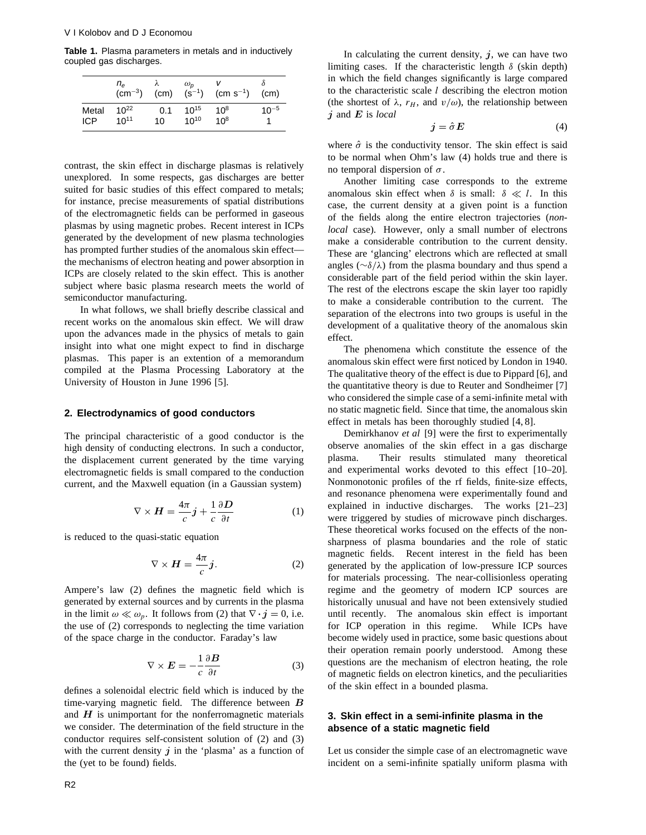**Table 1.** Plasma parameters in metals and in inductively coupled gas discharges.

|       | $n_e$<br>$\rm (cm^{-3})$ | (cm) | $\omega_{\rm{D}}$<br>$(s^{-1})$ | $(cm s^{-1})$   | (c <sub>m</sub> ) |
|-------|--------------------------|------|---------------------------------|-----------------|-------------------|
| Metal | 10 <sup>22</sup>         | 0.1  | $10^{15}$                       | 10 <sup>8</sup> | $10^{-5}$         |
| ICP   | $10^{11}$                | 10   | $10^{10}$                       | 10 <sup>8</sup> |                   |

contrast, the skin effect in discharge plasmas is relatively unexplored. In some respects, gas discharges are better suited for basic studies of this effect compared to metals; for instance, precise measurements of spatial distributions of the electromagnetic fields can be performed in gaseous plasmas by using magnetic probes. Recent interest in ICPs generated by the development of new plasma technologies has prompted further studies of the anomalous skin effect the mechanisms of electron heating and power absorption in ICPs are closely related to the skin effect. This is another subject where basic plasma research meets the world of semiconductor manufacturing.

In what follows, we shall briefly describe classical and recent works on the anomalous skin effect. We will draw upon the advances made in the physics of metals to gain insight into what one might expect to find in discharge plasmas. This paper is an extention of a memorandum compiled at the Plasma Processing Laboratory at the University of Houston in June 1996 [5].

## **2. Electrodynamics of good conductors**

The principal characteristic of a good conductor is the high density of conducting electrons. In such a conductor, the displacement current generated by the time varying electromagnetic fields is small compared to the conduction current, and the Maxwell equation (in a Gaussian system)

$$
\nabla \times \boldsymbol{H} = \frac{4\pi}{c} \boldsymbol{j} + \frac{1}{c} \frac{\partial \boldsymbol{D}}{\partial t}
$$
 (1)

is reduced to the quasi-static equation

$$
\nabla \times \mathbf{H} = \frac{4\pi}{c} j. \tag{2}
$$

Ampere's law (2) defines the magnetic field which is generated by external sources and by currents in the plasma in the limit  $\omega \ll \omega_p$ . It follows from (2) that  $\nabla \cdot \mathbf{j} = 0$ , i.e. the use of (2) corresponds to neglecting the time variation of the space charge in the conductor. Faraday's law

$$
\nabla \times \mathbf{E} = -\frac{1}{c} \frac{\partial \mathbf{B}}{\partial t}
$$
 (3)

defines a solenoidal electric field which is induced by the time-varying magnetic field. The difference between *B* and *H* is unimportant for the nonferromagnetic materials we consider. The determination of the field structure in the conductor requires self-consistent solution of (2) and (3) with the current density  $j$  in the 'plasma' as a function of the (yet to be found) fields.

In calculating the current density,  $j$ , we can have two limiting cases. If the characteristic length  $\delta$  (skin depth) in which the field changes significantly is large compared to the characteristic scale *l* describing the electron motion (the shortest of  $\lambda$ ,  $r_H$ , and  $v/\omega$ ), the relationship between *j* and *E* is *local*

$$
j = \hat{\sigma} E \tag{4}
$$

where  $\hat{\sigma}$  is the conductivity tensor. The skin effect is said to be normal when Ohm's law (4) holds true and there is no temporal dispersion of *σ*.

Another limiting case corresponds to the extreme anomalous skin effect when  $\delta$  is small:  $\delta \ll l$ . In this case, the current density at a given point is a function of the fields along the entire electron trajectories (*nonlocal* case). However, only a small number of electrons make a considerable contribution to the current density. These are 'glancing' electrons which are reflected at small angles (∼*δ/λ*) from the plasma boundary and thus spend a considerable part of the field period within the skin layer. The rest of the electrons escape the skin layer too rapidly to make a considerable contribution to the current. The separation of the electrons into two groups is useful in the development of a qualitative theory of the anomalous skin effect.

The phenomena which constitute the essence of the anomalous skin effect were first noticed by London in 1940. The qualitative theory of the effect is due to Pippard [6], and the quantitative theory is due to Reuter and Sondheimer [7] who considered the simple case of a semi-infinite metal with no static magnetic field. Since that time, the anomalous skin effect in metals has been thoroughly studied [4, 8].

Demirkhanov *et al* [9] were the first to experimentally observe anomalies of the skin effect in a gas discharge plasma. Their results stimulated many theoretical and experimental works devoted to this effect [10–20]. Nonmonotonic profiles of the rf fields, finite-size effects, and resonance phenomena were experimentally found and explained in inductive discharges. The works [21–23] were triggered by studies of microwave pinch discharges. These theoretical works focused on the effects of the nonsharpness of plasma boundaries and the role of static magnetic fields. Recent interest in the field has been generated by the application of low-pressure ICP sources for materials processing. The near-collisionless operating regime and the geometry of modern ICP sources are historically unusual and have not been extensively studied until recently. The anomalous skin effect is important for ICP operation in this regime. While ICPs have become widely used in practice, some basic questions about their operation remain poorly understood. Among these questions are the mechanism of electron heating, the role of magnetic fields on electron kinetics, and the peculiarities of the skin effect in a bounded plasma.

# **3. Skin effect in a semi-infinite plasma in the absence of a static magnetic field**

Let us consider the simple case of an electromagnetic wave incident on a semi-infinite spatially uniform plasma with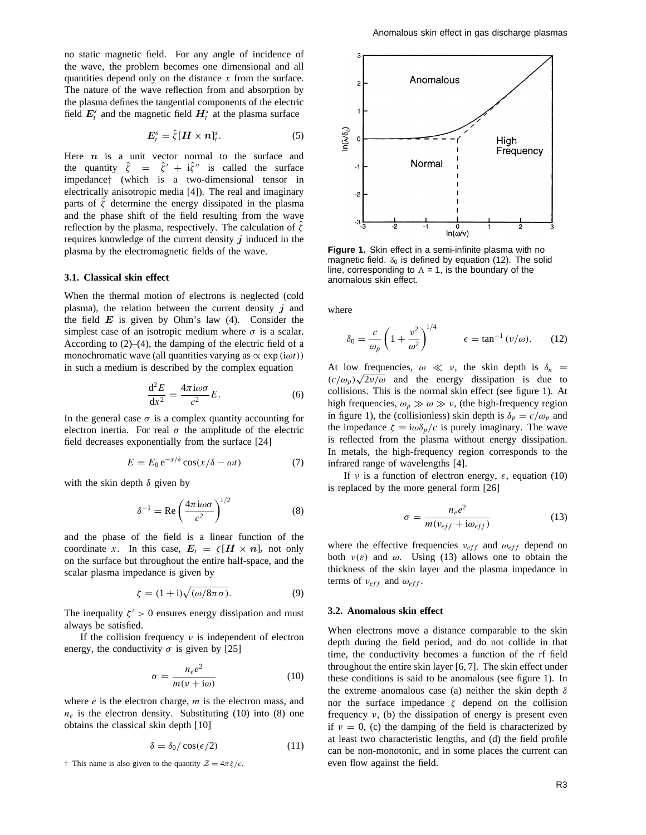no static magnetic field. For any angle of incidence of the wave, the problem becomes one dimensional and all quantities depend only on the distance *x* from the surface. The nature of the wave reflection from and absorption by the plasma defines the tangential components of the electric field  $E_t^s$  and the magnetic field  $H_t^s$  at the plasma surface

$$
\boldsymbol{E}_t^s = \hat{\zeta} [\boldsymbol{H} \times \boldsymbol{n}]_t^s. \tag{5}
$$

Here *n* is a unit vector normal to the surface and the quantity  $\hat{\zeta} = \hat{\zeta}' + i\hat{\zeta}''$  is called the surface impedance*†* (which is a two-dimensional tensor in electrically anisotropic media [4]). The real and imaginary parts of  $\hat{\zeta}$  determine the energy dissipated in the plasma and the phase shift of the field resulting from the wave reflection by the plasma, respectively. The calculation of *ζ*ˆ requires knowledge of the current density *j* induced in the plasma by the electromagnetic fields of the wave.

## **3.1. Classical skin effect**

When the thermal motion of electrons is neglected (cold plasma), the relation between the current density *j* and the field  $E$  is given by Ohm's law  $(4)$ . Consider the simplest case of an isotropic medium where  $\sigma$  is a scalar. According to  $(2)$ – $(4)$ , the damping of the electric field of a monochromatic wave (all quantities varying as  $\propto \exp(i\omega t)$ ) in such a medium is described by the complex equation

$$
\frac{\mathrm{d}^2 E}{\mathrm{d}x^2} = \frac{4\pi i \omega \sigma}{c^2} E. \tag{6}
$$

In the general case  $\sigma$  is a complex quantity accounting for electron inertia. For real  $\sigma$  the amplitude of the electric field decreases exponentially from the surface [24]

$$
E = E_0 e^{-x/\delta} \cos(x/\delta - \omega t)
$$
 (7)

with the skin depth *δ* given by

$$
\delta^{-1} = \text{Re}\left(\frac{4\pi i \omega \sigma}{c^2}\right)^{1/2} \tag{8}
$$

and the phase of the field is a linear function of the coordinate *x*. In this case,  $E_t = \zeta [H \times n]_t$  not only on the surface but throughout the entire half-space, and the scalar plasma impedance is given by

$$
\zeta = (1 + i)\sqrt{(\omega/8\pi\sigma)}.
$$
\n(9)

The inequality  $\zeta' > 0$  ensures energy dissipation and must always be satisfied.

If the collision frequency *ν* is independent of electron energy, the conductivity  $\sigma$  is given by [25]

$$
\sigma = \frac{n_e e^2}{m(v + i\omega)}\tag{10}
$$

where *e* is the electron charge, *m* is the electron mass, and  $n_e$  is the electron density. Substituting (10) into (8) one obtains the classical skin depth [10]

$$
\delta = \delta_0 / \cos(\epsilon/2) \tag{11}
$$

*†* This name is also given to the quantity  $Z = 4\pi \zeta/c$ .



**Figure 1.** Skin effect in a semi-infinite plasma with no magnetic field.  $\delta_0$  is defined by equation (12). The solid line, corresponding to  $\Lambda = 1$ , is the boundary of the anomalous skin effect.

where

$$
\delta_0 = \frac{c}{\omega_p} \left( 1 + \frac{v^2}{\omega^2} \right)^{1/4} \qquad \epsilon = \tan^{-1} \left( v/\omega \right). \tag{12}
$$

At low frequencies,  $\omega \ll v$ , the skin depth is  $\delta_n =$  $(c/\omega_p)\sqrt{2v/\omega}$  and the energy dissipation is due to collisions. This is the normal skin effect (see figure 1). At high frequencies,  $\omega_p \gg \omega \gg v$ , (the high-frequency region in figure 1), the (collisionless) skin depth is  $\delta_p = c/\omega_p$  and the impedance  $\zeta = i\omega \delta_p/c$  is purely imaginary. The wave is reflected from the plasma without energy dissipation. In metals, the high-frequency region corresponds to the infrared range of wavelengths [4].

If *ν* is a function of electron energy, *ε*, equation (10) is replaced by the more general form [26]

$$
\sigma = \frac{n_e e^2}{m(v_{eff} + i\omega_{eff})}
$$
(13)

where the effective frequencies  $v_{eff}$  and  $\omega_{eff}$  depend on both  $v(\varepsilon)$  and  $\omega$ . Using (13) allows one to obtain the thickness of the skin layer and the plasma impedance in terms of  $v_{eff}$  and  $\omega_{eff}$ .

#### **3.2. Anomalous skin effect**

When electrons move a distance comparable to the skin depth during the field period, and do not collide in that time, the conductivity becomes a function of the rf field throughout the entire skin layer [6, 7]. The skin effect under these conditions is said to be anomalous (see figure 1). In the extreme anomalous case (a) neither the skin depth *δ* nor the surface impedance *ζ* depend on the collision frequency  $v$ , (b) the dissipation of energy is present even if  $v = 0$ , (c) the damping of the field is characterized by at least two characteristic lengths, and (d) the field profile can be non-monotonic, and in some places the current can even flow against the field.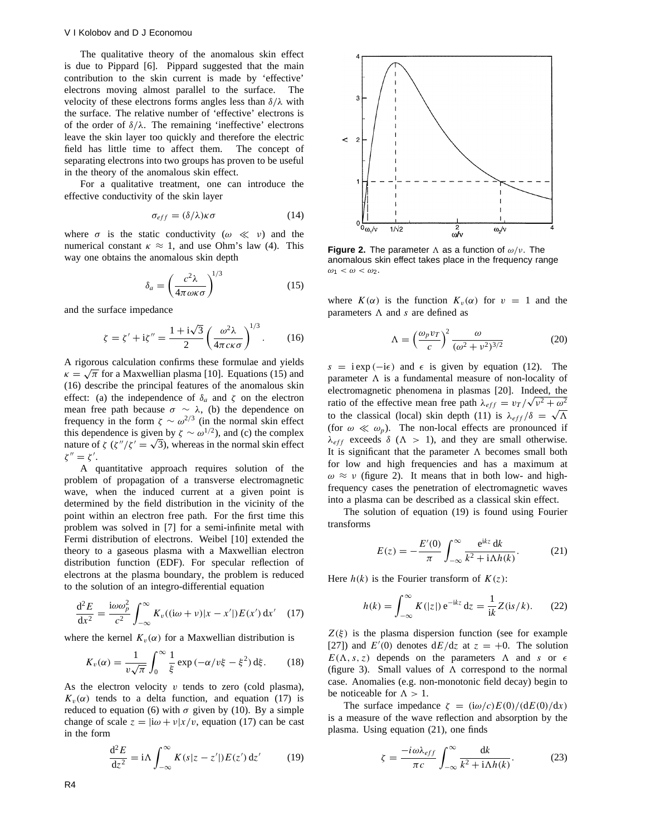The qualitative theory of the anomalous skin effect is due to Pippard [6]. Pippard suggested that the main contribution to the skin current is made by 'effective' electrons moving almost parallel to the surface. The velocity of these electrons forms angles less than *δ/λ* with the surface. The relative number of 'effective' electrons is of the order of *δ/λ*. The remaining 'ineffective' electrons leave the skin layer too quickly and therefore the electric field has little time to affect them. The concept of separating electrons into two groups has proven to be useful in the theory of the anomalous skin effect.

For a qualitative treatment, one can introduce the effective conductivity of the skin layer

$$
\sigma_{eff} = (\delta/\lambda)\kappa\sigma \tag{14}
$$

where  $\sigma$  is the static conductivity ( $\omega \ll \nu$ ) and the numerical constant  $\kappa \approx 1$ , and use Ohm's law (4). This way one obtains the anomalous skin depth

$$
\delta_a = \left(\frac{c^2 \lambda}{4\pi \omega \kappa \sigma}\right)^{1/3} \tag{15}
$$

and the surface impedance

$$
\zeta = \zeta' + i\zeta'' = \frac{1 + i\sqrt{3}}{2} \left(\frac{\omega^2 \lambda}{4\pi c\kappa \sigma}\right)^{1/3}.
$$
 (16)

A rigorous calculation confirms these formulae and yields  $\kappa = \sqrt{\pi}$  for a Maxwellian plasma [10]. Equations (15) and (16) describe the principal features of the anomalous skin effect: (a) the independence of  $\delta_a$  and  $\zeta$  on the electron mean free path because  $\sigma \sim \lambda$ , (b) the dependence on frequency in the form  $\zeta \sim \omega^{2/3}$  (in the normal skin effect this dependence is given by  $\zeta \sim \omega^{1/2}$ ), and (c) the complex nature of *ζ* ( $\zeta''/\zeta' = \sqrt{3}$ ), whereas in the normal skin effect  $\zeta'' = \zeta'.$ 

A quantitative approach requires solution of the problem of propagation of a transverse electromagnetic wave, when the induced current at a given point is determined by the field distribution in the vicinity of the point within an electron free path. For the first time this problem was solved in [7] for a semi-infinite metal with Fermi distribution of electrons. Weibel [10] extended the theory to a gaseous plasma with a Maxwellian electron distribution function (EDF). For specular reflection of electrons at the plasma boundary, the problem is reduced to the solution of an integro-differential equation

$$
\frac{\mathrm{d}^2 E}{\mathrm{d}x^2} = \frac{\mathrm{i}\omega\omega_p^2}{c^2} \int_{-\infty}^{\infty} K_v((\mathrm{i}\omega + v)|x - x'|) E(x') \,\mathrm{d}x' \tag{17}
$$

where the kernel  $K_v(\alpha)$  for a Maxwellian distribution is

$$
K_v(\alpha) = \frac{1}{v\sqrt{\pi}} \int_0^\infty \frac{1}{\xi} \exp\left(-\alpha/v\xi - \xi^2\right) d\xi. \tag{18}
$$

As the electron velocity *v* tends to zero (cold plasma),  $K_v(\alpha)$  tends to a delta function, and equation (17) is reduced to equation (6) with  $\sigma$  given by (10). By a simple change of scale  $z = |i\omega + v|x/v|$ , equation (17) can be cast in the form

$$
\frac{\mathrm{d}^2 E}{\mathrm{d}z^2} = \mathrm{i} \Lambda \int_{-\infty}^{\infty} K(s|z - z'|) E(z') \,\mathrm{d}z' \tag{19}
$$



**Figure 2.** The parameter  $\Lambda$  as a function of  $\omega/\nu$ . The anomalous skin effect takes place in the frequency range  $\omega_1 < \omega < \omega_2$ .

where  $K(\alpha)$  is the function  $K_v(\alpha)$  for  $v = 1$  and the parameters  $\Lambda$  and  $s$  are defined as

$$
\Lambda = \left(\frac{\omega_p v_T}{c}\right)^2 \frac{\omega}{(\omega^2 + v^2)^{3/2}}\tag{20}
$$

 $s = i \exp(-i\epsilon)$  and  $\epsilon$  is given by equation (12). The parameter  $\Lambda$  is a fundamental measure of non-locality of electromagnetic phenomena in plasmas [20]. Indeed, the ratio of the effective mean free path  $\lambda_{eff} = v_T / \sqrt{v^2 + \omega^2}$ to the classical (local) skin depth (11) is  $\lambda_{eff}/\delta = \sqrt{\Lambda}$ (for  $\omega \ll \omega_p$ ). The non-local effects are pronounced if  $λ_{eff}$  exceeds  $δ$  ( $Λ$  > 1), and they are small otherwise. It is significant that the parameter  $\Lambda$  becomes small both for low and high frequencies and has a maximum at  $\omega \approx \nu$  (figure 2). It means that in both low- and highfrequency cases the penetration of electromagnetic waves into a plasma can be described as a classical skin effect.

The solution of equation (19) is found using Fourier transforms

$$
E(z) = -\frac{E'(0)}{\pi} \int_{-\infty}^{\infty} \frac{e^{ikz} dk}{k^2 + i\Lambda h(k)}.
$$
 (21)

Here  $h(k)$  is the Fourier transform of  $K(z)$ :

$$
h(k) = \int_{-\infty}^{\infty} K(|z|) e^{-ikz} dz = \frac{1}{ik} Z(is/k).
$$
 (22)

 $Z(\xi)$  is the plasma dispersion function (see for example [27]) and  $E'(0)$  denotes  $dE/dz$  at  $z = +0$ . The solution  $E(\Lambda, s, z)$  depends on the parameters  $\Lambda$  and *s* or  $\epsilon$ (figure 3). Small values of  $\Lambda$  correspond to the normal case. Anomalies (e.g. non-monotonic field decay) begin to be noticeable for  $\Lambda > 1$ .

The surface impedance  $\zeta = \frac{(\mathrm{i}\omega/c)E(0)}{dE(0)}d\tau$ is a measure of the wave reflection and absorption by the plasma. Using equation (21), one finds

$$
\zeta = \frac{-i\omega\lambda_{eff}}{\pi c} \int_{-\infty}^{\infty} \frac{\mathrm{d}k}{k^2 + \mathrm{i}\Lambda h(k)}.\tag{23}
$$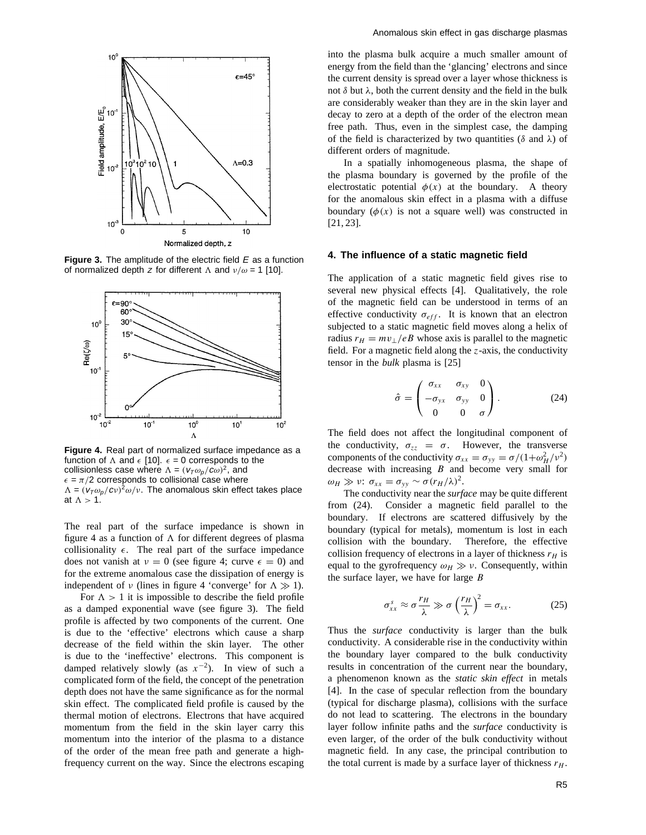

**Figure 3.** The amplitude of the electric field E as a function of normalized depth z for different  $\Lambda$  and  $\nu/\omega = 1$  [10].



**Figure 4.** Real part of normalized surface impedance as a function of  $\Lambda$  and  $\epsilon$  [10].  $\epsilon = 0$  corresponds to the collisionless case where  $\Lambda = (v_T \omega_p/c\omega)^2$ , and  $\epsilon = \pi/2$  corresponds to collisional case where  $\Lambda = (v_T \omega_p / c v)^2 \omega / v$ . The anomalous skin effect takes place at  $\Lambda > 1$ .

The real part of the surface impedance is shown in figure 4 as a function of  $\Lambda$  for different degrees of plasma collisionality  $\epsilon$ . The real part of the surface impedance does not vanish at  $v = 0$  (see figure 4; curve  $\epsilon = 0$ ) and for the extreme anomalous case the dissipation of energy is independent of *ν* (lines in figure 4 'converge' for  $\Lambda \gg 1$ ).

For  $\Lambda > 1$  it is impossible to describe the field profile as a damped exponential wave (see figure 3). The field profile is affected by two components of the current. One is due to the 'effective' electrons which cause a sharp decrease of the field within the skin layer. The other is due to the 'ineffective' electrons. This component is damped relatively slowly (as *x*−2). In view of such a complicated form of the field, the concept of the penetration depth does not have the same significance as for the normal skin effect. The complicated field profile is caused by the thermal motion of electrons. Electrons that have acquired momentum from the field in the skin layer carry this momentum into the interior of the plasma to a distance of the order of the mean free path and generate a highfrequency current on the way. Since the electrons escaping

into the plasma bulk acquire a much smaller amount of energy from the field than the 'glancing' electrons and since the current density is spread over a layer whose thickness is not *δ* but *λ*, both the current density and the field in the bulk are considerably weaker than they are in the skin layer and decay to zero at a depth of the order of the electron mean free path. Thus, even in the simplest case, the damping of the field is characterized by two quantities (*δ* and *λ*) of different orders of magnitude.

In a spatially inhomogeneous plasma, the shape of the plasma boundary is governed by the profile of the electrostatic potential  $\phi(x)$  at the boundary. A theory for the anomalous skin effect in a plasma with a diffuse boundary  $(\phi(x))$  is not a square well) was constructed in [21, 23].

## **4. The influence of a static magnetic field**

The application of a static magnetic field gives rise to several new physical effects [4]. Qualitatively, the role of the magnetic field can be understood in terms of an effective conductivity  $\sigma_{eff}$ . It is known that an electron subjected to a static magnetic field moves along a helix of radius  $r_H = mv_{\perp}/eB$  whose axis is parallel to the magnetic field. For a magnetic field along the *z*-axis, the conductivity tensor in the *bulk* plasma is [25]

$$
\hat{\sigma} = \begin{pmatrix} \sigma_{xx} & \sigma_{xy} & 0 \\ -\sigma_{yx} & \sigma_{yy} & 0 \\ 0 & 0 & \sigma \end{pmatrix}.
$$
 (24)

The field does not affect the longitudinal component of the conductivity,  $\sigma_{zz} = \sigma$ . However, the transverse components of the conductivity  $\sigma_{xx} = \sigma_{yy} = \sigma/(1+\omega_H^2/v^2)$ decrease with increasing *B* and become very small for  $ω<sub>H</sub>$   $\gg$  *ν*:  $σ<sub>xx</sub> = σ<sub>yy</sub> ~ σ(r<sub>H</sub>/λ)<sup>2</sup>$ .

The conductivity near the *surface* may be quite different from (24). Consider a magnetic field parallel to the boundary. If electrons are scattered diffusively by the boundary (typical for metals), momentum is lost in each collision with the boundary. Therefore, the effective collision frequency of electrons in a layer of thickness  $r_H$  is equal to the gyrofrequency  $\omega_H \gg v$ . Consequently, within the surface layer, we have for large *B*

$$
\sigma_{xx}^s \approx \sigma \frac{r_H}{\lambda} \gg \sigma \left(\frac{r_H}{\lambda}\right)^2 = \sigma_{xx}.
$$
 (25)

Thus the *surface* conductivity is larger than the bulk conductivity. A considerable rise in the conductivity within the boundary layer compared to the bulk conductivity results in concentration of the current near the boundary, a phenomenon known as the *static skin effect* in metals [4]. In the case of specular reflection from the boundary (typical for discharge plasma), collisions with the surface do not lead to scattering. The electrons in the boundary layer follow infinite paths and the *surface* conductivity is even larger, of the order of the bulk conductivity without magnetic field. In any case, the principal contribution to the total current is made by a surface layer of thickness  $r_H$ .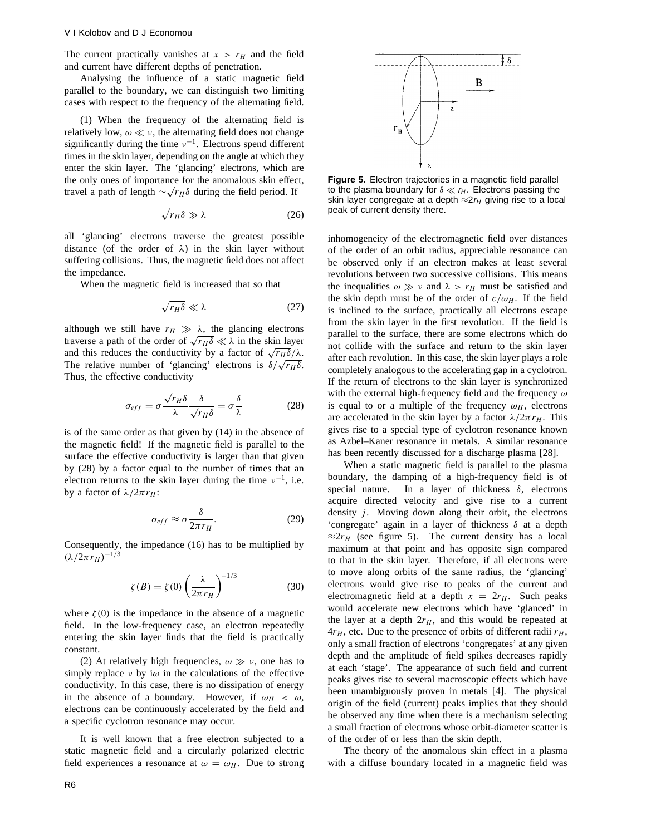The current practically vanishes at  $x > r_H$  and the field and current have different depths of penetration.

Analysing the influence of a static magnetic field parallel to the boundary, we can distinguish two limiting cases with respect to the frequency of the alternating field.

(1) When the frequency of the alternating field is relatively low,  $\omega \ll v$ , the alternating field does not change significantly during the time  $v^{-1}$ . Electrons spend different times in the skin layer, depending on the angle at which they enter the skin layer. The 'glancing' electrons, which are the only ones of importance for the anomalous skin effect, travel a path of length  $\sim \sqrt{r_H \delta}$  during the field period. If

$$
\sqrt{r_H \delta} \gg \lambda \tag{26}
$$

all 'glancing' electrons traverse the greatest possible distance (of the order of *λ*) in the skin layer without suffering collisions. Thus, the magnetic field does not affect the impedance.

When the magnetic field is increased that so that

$$
\sqrt{r_H \delta} \ll \lambda \tag{27}
$$

although we still have  $r_H \gg \lambda$ , the glancing electrons traverse a path of the order of  $\sqrt{r_H \delta} \ll \lambda$  in the skin layer and this reduces the conductivity by a factor of  $\sqrt{r_H \delta}/\lambda$ . The relative number of 'glancing' electrons is  $\delta/\sqrt{r_H\delta}$ . Thus, the effective conductivity

$$
\sigma_{eff} = \sigma \frac{\sqrt{r_H \delta}}{\lambda} \frac{\delta}{\sqrt{r_H \delta}} = \sigma \frac{\delta}{\lambda}
$$
 (28)

is of the same order as that given by (14) in the absence of the magnetic field! If the magnetic field is parallel to the surface the effective conductivity is larger than that given by (28) by a factor equal to the number of times that an electron returns to the skin layer during the time *ν*−1, i.e. by a factor of  $λ/2πr_H$ :

$$
\sigma_{eff} \approx \sigma \frac{\delta}{2\pi r_H}.
$$
 (29)

Consequently, the impedance (16) has to be multiplied by  $(λ/2π r_H)^{-1/3}$ 

$$
\zeta(B) = \zeta(0) \left(\frac{\lambda}{2\pi r_H}\right)^{-1/3} \tag{30}
$$

where  $\zeta(0)$  is the impedance in the absence of a magnetic field. In the low-frequency case, an electron repeatedly entering the skin layer finds that the field is practically constant.

(2) At relatively high frequencies,  $\omega \gg \nu$ , one has to simply replace *ν* by i*ω* in the calculations of the effective conductivity. In this case, there is no dissipation of energy in the absence of a boundary. However, if  $\omega_H < \omega$ , electrons can be continuously accelerated by the field and a specific cyclotron resonance may occur.

It is well known that a free electron subjected to a static magnetic field and a circularly polarized electric field experiences a resonance at  $\omega = \omega_H$ . Due to strong



**Figure 5.** Electron trajectories in a magnetic field parallel to the plasma boundary for  $\delta \ll r_H$ . Electrons passing the skin layer congregate at a depth  $\approx 2r_H$  giving rise to a local peak of current density there.

inhomogeneity of the electromagnetic field over distances of the order of an orbit radius, appreciable resonance can be observed only if an electron makes at least several revolutions between two successive collisions. This means the inequalities  $\omega \gg v$  and  $\lambda > r_H$  must be satisfied and the skin depth must be of the order of  $c/\omega_H$ . If the field is inclined to the surface, practically all electrons escape from the skin layer in the first revolution. If the field is parallel to the surface, there are some electrons which do not collide with the surface and return to the skin layer after each revolution. In this case, the skin layer plays a role completely analogous to the accelerating gap in a cyclotron. If the return of electrons to the skin layer is synchronized with the external high-frequency field and the frequency *ω* is equal to or a multiple of the frequency  $\omega_H$ , electrons are accelerated in the skin layer by a factor  $\lambda/2\pi r_H$ . This gives rise to a special type of cyclotron resonance known as Azbel–Kaner resonance in metals. A similar resonance has been recently discussed for a discharge plasma [28].

When a static magnetic field is parallel to the plasma boundary, the damping of a high-frequency field is of special nature. In a layer of thickness *δ*, electrons acquire directed velocity and give rise to a current density *j*. Moving down along their orbit, the electrons 'congregate' again in a layer of thickness *δ* at a depth  $\approx 2r_H$  (see figure 5). The current density has a local maximum at that point and has opposite sign compared to that in the skin layer. Therefore, if all electrons were to move along orbits of the same radius, the 'glancing' electrons would give rise to peaks of the current and electromagnetic field at a depth  $x = 2r_H$ . Such peaks would accelerate new electrons which have 'glanced' in the layer at a depth  $2r_H$ , and this would be repeated at  $4r_H$ , etc. Due to the presence of orbits of different radii  $r_H$ , only a small fraction of electrons 'congregates' at any given depth and the amplitude of field spikes decreases rapidly at each 'stage'. The appearance of such field and current peaks gives rise to several macroscopic effects which have been unambiguously proven in metals [4]. The physical origin of the field (current) peaks implies that they should be observed any time when there is a mechanism selecting a small fraction of electrons whose orbit-diameter scatter is of the order of or less than the skin depth.

The theory of the anomalous skin effect in a plasma with a diffuse boundary located in a magnetic field was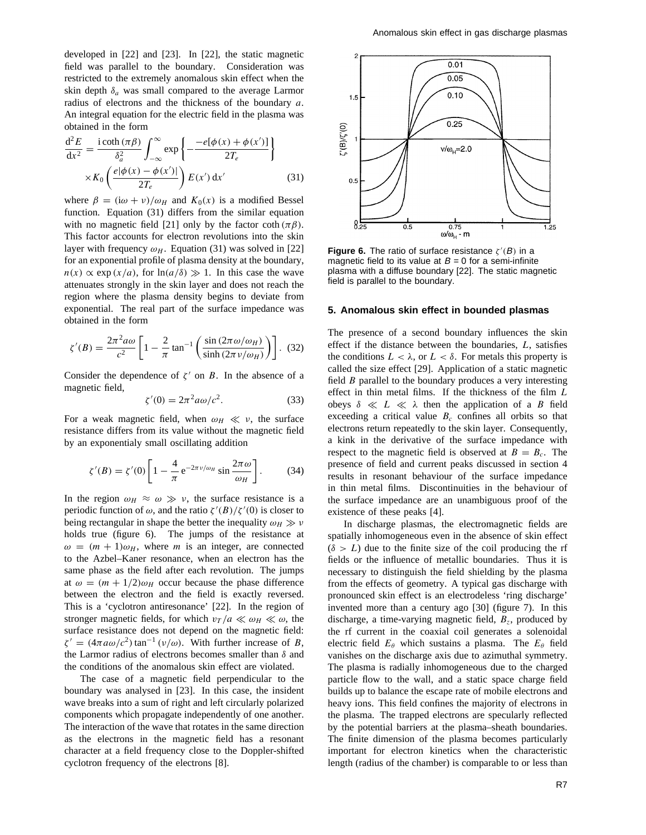developed in [22] and [23]. In [22], the static magnetic field was parallel to the boundary. Consideration was restricted to the extremely anomalous skin effect when the skin depth  $\delta_a$  was small compared to the average Larmor radius of electrons and the thickness of the boundary *a*. An integral equation for the electric field in the plasma was obtained in the form

$$
\frac{d^2 E}{dx^2} = \frac{i \coth (\pi \beta)}{\delta_a^2} \int_{-\infty}^{\infty} \exp \left\{ -\frac{-e[\phi(x) + \phi(x')]}{2T_e} \right\}
$$

$$
\times K_0 \left( \frac{e|\phi(x) - \phi(x')|}{2T_e} \right) E(x') dx' \tag{31}
$$

where  $\beta = (\mathrm{i}\omega + \nu)/\omega_H$  and  $K_0(x)$  is a modified Bessel function. Equation (31) differs from the similar equation with no magnetic field [21] only by the factor coth  $(\pi \beta)$ . This factor accounts for electron revolutions into the skin layer with frequency  $\omega_H$ . Equation (31) was solved in [22] for an exponential profile of plasma density at the boundary,  $n(x) \propto \exp(x/a)$ , for  $\ln(a/\delta) \gg 1$ . In this case the wave attenuates strongly in the skin layer and does not reach the region where the plasma density begins to deviate from exponential. The real part of the surface impedance was obtained in the form

$$
\zeta'(B) = \frac{2\pi^2 a\omega}{c^2} \left[ 1 - \frac{2}{\pi} \tan^{-1} \left( \frac{\sin (2\pi \omega/\omega_H)}{\sinh (2\pi \nu/\omega_H)} \right) \right].
$$
 (32)

Consider the dependence of  $\zeta'$  on *B*. In the absence of a magnetic field,

$$
\zeta'(0) = 2\pi^2 a\omega/c^2. \tag{33}
$$

For a weak magnetic field, when  $\omega_H \ll v$ , the surface resistance differs from its value without the magnetic field by an exponentialy small oscillating addition

$$
\zeta'(B) = \zeta'(0) \left[ 1 - \frac{4}{\pi} e^{-2\pi v/\omega_H} \sin \frac{2\pi \omega}{\omega_H} \right].
$$
 (34)

In the region  $\omega_H \approx \omega \gg v$ , the surface resistance is a periodic function of  $\omega$ , and the ratio  $\zeta'(B)/\zeta'(0)$  is closer to being rectangular in shape the better the inequality  $\omega_H \gg v$ holds true (figure 6). The jumps of the resistance at  $\omega = (m + 1)\omega_H$ , where *m* is an integer, are connected to the Azbel–Kaner resonance, when an electron has the same phase as the field after each revolution. The jumps at  $\omega = (m + 1/2)\omega_H$  occur because the phase difference between the electron and the field is exactly reversed. This is a 'cyclotron antiresonance' [22]. In the region of stronger magnetic fields, for which  $v_T/a \ll \omega_H \ll \omega$ , the surface resistance does not depend on the magnetic field:  $\zeta' = (4\pi a\omega/c^2)\tan^{-1}(v/\omega)$ . With further increase of *B*, the Larmor radius of electrons becomes smaller than *δ* and the conditions of the anomalous skin effect are violated.

The case of a magnetic field perpendicular to the boundary was analysed in [23]. In this case, the insident wave breaks into a sum of right and left circularly polarized components which propagate independently of one another. The interaction of the wave that rotates in the same direction as the electrons in the magnetic field has a resonant character at a field frequency close to the Doppler-shifted cyclotron frequency of the electrons [8].



**Figure 6.** The ratio of surface resistance  $\zeta'(B)$  in a magnetic field to its value at  $B = 0$  for a semi-infinite plasma with a diffuse boundary [22]. The static magnetic field is parallel to the boundary.

#### **5. Anomalous skin effect in bounded plasmas**

The presence of a second boundary influences the skin effect if the distance between the boundaries, *L*, satisfies the conditions  $L < \lambda$ , or  $L < \delta$ . For metals this property is called the size effect [29]. Application of a static magnetic field *B* parallel to the boundary produces a very interesting effect in thin metal films. If the thickness of the film *L* obeys  $\delta \ll L \ll \lambda$  then the application of a *B* field exceeding a critical value  $B_c$  confines all orbits so that electrons return repeatedly to the skin layer. Consequently, a kink in the derivative of the surface impedance with respect to the magnetic field is observed at  $B = B_c$ . The presence of field and current peaks discussed in section 4 results in resonant behaviour of the surface impedance in thin metal films. Discontinuities in the behaviour of the surface impedance are an unambiguous proof of the existence of these peaks [4].

In discharge plasmas, the electromagnetic fields are spatially inhomogeneous even in the absence of skin effect  $(\delta > L)$  due to the finite size of the coil producing the rf fields or the influence of metallic boundaries. Thus it is necessary to distinguish the field shielding by the plasma from the effects of geometry. A typical gas discharge with pronounced skin effect is an electrodeless 'ring discharge' invented more than a century ago [30] (figure 7). In this discharge, a time-varying magnetic field,  $B_z$ , produced by the rf current in the coaxial coil generates a solenoidal electric field *Eθ* which sustains a plasma. The *Eθ* field vanishes on the discharge axis due to azimuthal symmetry. The plasma is radially inhomogeneous due to the charged particle flow to the wall, and a static space charge field builds up to balance the escape rate of mobile electrons and heavy ions. This field confines the majority of electrons in the plasma. The trapped electrons are specularly reflected by the potential barriers at the plasma–sheath boundaries. The finite dimension of the plasma becomes particularly important for electron kinetics when the characteristic length (radius of the chamber) is comparable to or less than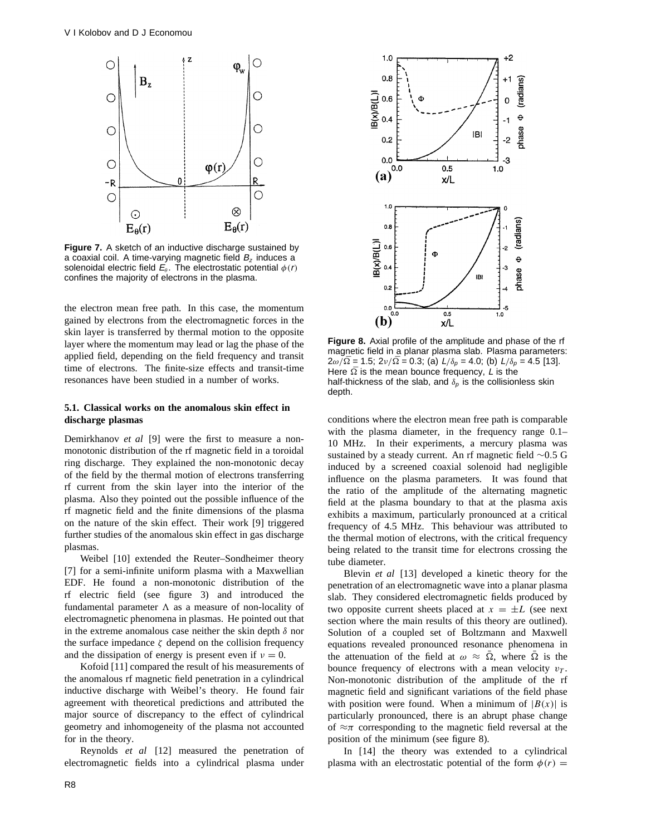

**Figure 7.** A sketch of an inductive discharge sustained by a coaxial coil. A time-varying magnetic field  $B<sub>z</sub>$  induces a solenoidal electric field  $E_\theta$ . The electrostatic potential  $\phi(r)$ confines the majority of electrons in the plasma.

the electron mean free path. In this case, the momentum gained by electrons from the electromagnetic forces in the skin layer is transferred by thermal motion to the opposite layer where the momentum may lead or lag the phase of the applied field, depending on the field frequency and transit time of electrons. The finite-size effects and transit-time resonances have been studied in a number of works.

## **5.1. Classical works on the anomalous skin effect in discharge plasmas**

Demirkhanov *et al* [9] were the first to measure a nonmonotonic distribution of the rf magnetic field in a toroidal ring discharge. They explained the non-monotonic decay of the field by the thermal motion of electrons transferring rf current from the skin layer into the interior of the plasma. Also they pointed out the possible influence of the rf magnetic field and the finite dimensions of the plasma on the nature of the skin effect. Their work [9] triggered further studies of the anomalous skin effect in gas discharge plasmas.

Weibel [10] extended the Reuter–Sondheimer theory [7] for a semi-infinite uniform plasma with a Maxwellian EDF. He found a non-monotonic distribution of the rf electric field (see figure 3) and introduced the fundamental parameter  $\Lambda$  as a measure of non-locality of electromagnetic phenomena in plasmas. He pointed out that in the extreme anomalous case neither the skin depth *δ* nor the surface impedance  $\zeta$  depend on the collision frequency and the dissipation of energy is present even if  $\nu = 0$ .

Kofoid [11] compared the result of his measurements of the anomalous rf magnetic field penetration in a cylindrical inductive discharge with Weibel's theory. He found fair agreement with theoretical predictions and attributed the major source of discrepancy to the effect of cylindrical geometry and inhomogeneity of the plasma not accounted for in the theory.

Reynolds *et al* [12] measured the penetration of electromagnetic fields into a cylindrical plasma under



**Figure 8.** Axial profile of the amplitude and phase of the rf magnetic field in a planar plasma slab. Plasma parameters:  $2\omega/\bar{\Omega} = 1.5$ ;  $2\nu/\bar{\Omega} = 0.3$ ; (a)  $L/\delta_p = 4.0$ ; (b)  $L/\delta_p = 4.5$  [13]. Here  $\overline{\Omega}$  is the mean bounce frequency, L is the half-thickness of the slab, and  $\delta_p$  is the collisionless skin depth.

conditions where the electron mean free path is comparable with the plasma diameter, in the frequency range  $0.1-$ 10 MHz. In their experiments, a mercury plasma was sustained by a steady current. An rf magnetic field ∼0*.*5 G induced by a screened coaxial solenoid had negligible influence on the plasma parameters. It was found that the ratio of the amplitude of the alternating magnetic field at the plasma boundary to that at the plasma axis exhibits a maximum, particularly pronounced at a critical frequency of 4.5 MHz. This behaviour was attributed to the thermal motion of electrons, with the critical frequency being related to the transit time for electrons crossing the tube diameter.

Blevin *et al* [13] developed a kinetic theory for the penetration of an electromagnetic wave into a planar plasma slab. They considered electromagnetic fields produced by two opposite current sheets placed at  $x = \pm L$  (see next section where the main results of this theory are outlined). Solution of a coupled set of Boltzmann and Maxwell equations revealed pronounced resonance phenomena in the attenuation of the field at  $\omega \approx \overline{\Omega}$ , where  $\overline{\Omega}$  is the bounce frequency of electrons with a mean velocity  $v_T$ . Non-monotonic distribution of the amplitude of the rf magnetic field and significant variations of the field phase with position were found. When a minimum of  $|B(x)|$  is particularly pronounced, there is an abrupt phase change of  $\approx \pi$  corresponding to the magnetic field reversal at the position of the minimum (see figure 8).

In [14] the theory was extended to a cylindrical plasma with an electrostatic potential of the form  $\phi(r)$  =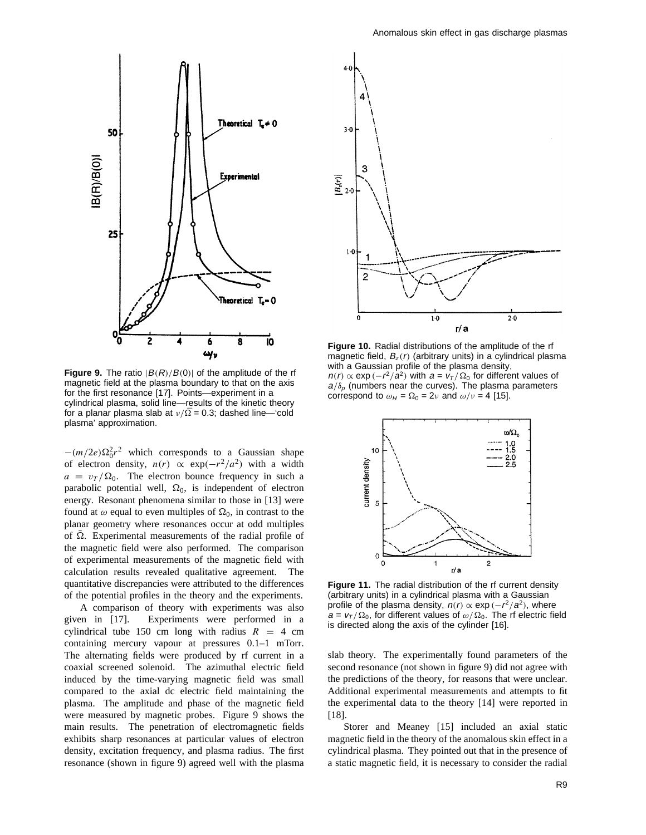

**Figure 9.** The ratio  $|B(R)/B(0)|$  of the amplitude of the rf magnetic field at the plasma boundary to that on the axis for the first resonance [17]. Points—experiment in a cylindrical plasma, solid line—results of the kinetic theory for a planar plasma slab at *ν/*¯ = 0*.*3; dashed line—'cold plasma' approximation.

 $-(m/2e)\Omega_0^2r^2$  which corresponds to a Gaussian shape of electron density,  $n(r) \propto \exp(-r^2/a^2)$  with a width  $a = v_T / \Omega_0$ . The electron bounce frequency in such a parabolic potential well,  $\Omega_0$ , is independent of electron energy. Resonant phenomena similar to those in [13] were found at  $\omega$  equal to even multiples of  $\Omega_0$ , in contrast to the planar geometry where resonances occur at odd multiples of  $\Omega$ . Experimental measurements of the radial profile of the magnetic field were also performed. The comparison of experimental measurements of the magnetic field with calculation results revealed qualitative agreement. The quantitative discrepancies were attributed to the differences of the potential profiles in the theory and the experiments.

A comparison of theory with experiments was also given in [17]. Experiments were performed in a cylindrical tube 150 cm long with radius  $R = 4$  cm containing mercury vapour at pressures 0.1–1 mTorr. The alternating fields were produced by rf current in a coaxial screened solenoid. The azimuthal electric field induced by the time-varying magnetic field was small compared to the axial dc electric field maintaining the plasma. The amplitude and phase of the magnetic field were measured by magnetic probes. Figure 9 shows the main results. The penetration of electromagnetic fields exhibits sharp resonances at particular values of electron density, excitation frequency, and plasma radius. The first resonance (shown in figure 9) agreed well with the plasma



**Figure 10.** Radial distributions of the amplitude of the rf magnetic field,  $B_z(r)$  (arbitrary units) in a cylindrical plasma with a Gaussian profile of the plasma density,  $n(r) \propto \exp{(-r^2/a^2)}$  with  $a = v_T / \Omega_0$  for different values of  $a/\delta_p$  (numbers near the curves). The plasma parameters correspond to  $\omega_H = \Omega_0 = 2\nu$  and  $\omega/\nu = 4$  [15].



Figure 11. The radial distribution of the rf current density (arbitrary units) in a cylindrical plasma with a Gaussian profile of the plasma density,  $n(r) \propto \exp(-r^2/a^2)$ , where  $a = v_T / \Omega_0$ , for different values of  $\omega / \Omega_0$ . The rf electric field is directed along the axis of the cylinder [16].

slab theory. The experimentally found parameters of the second resonance (not shown in figure 9) did not agree with the predictions of the theory, for reasons that were unclear. Additional experimental measurements and attempts to fit the experimental data to the theory [14] were reported in [18].

Storer and Meaney [15] included an axial static magnetic field in the theory of the anomalous skin effect in a cylindrical plasma. They pointed out that in the presence of a static magnetic field, it is necessary to consider the radial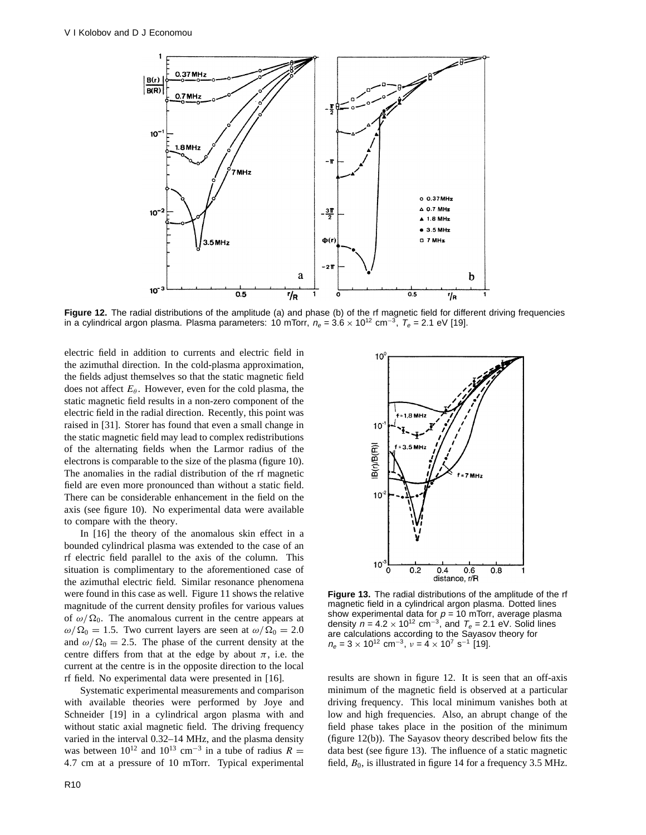

**Figure 12.** The radial distributions of the amplitude (a) and phase (b) of the rf magnetic field for different driving frequencies in a cylindrical argon plasma. Plasma parameters: 10 mTorr,  $n_e = 3.6 \times 10^{12}$  cm<sup>-3</sup>,  $T_e = 2.1$  eV [19].

electric field in addition to currents and electric field in the azimuthal direction. In the cold-plasma approximation, the fields adjust themselves so that the static magnetic field does not affect  $E_\theta$ . However, even for the cold plasma, the static magnetic field results in a non-zero component of the electric field in the radial direction. Recently, this point was raised in [31]. Storer has found that even a small change in the static magnetic field may lead to complex redistributions of the alternating fields when the Larmor radius of the electrons is comparable to the size of the plasma (figure 10). The anomalies in the radial distribution of the rf magnetic field are even more pronounced than without a static field. There can be considerable enhancement in the field on the axis (see figure 10). No experimental data were available to compare with the theory.

In [16] the theory of the anomalous skin effect in a bounded cylindrical plasma was extended to the case of an rf electric field parallel to the axis of the column. This situation is complimentary to the aforementioned case of the azimuthal electric field. Similar resonance phenomena were found in this case as well. Figure 11 shows the relative magnitude of the current density profiles for various values of  $\omega/\Omega_0$ . The anomalous current in the centre appears at  $\omega/\Omega_0 = 1.5$ . Two current layers are seen at  $\omega/\Omega_0 = 2.0$ and  $\omega/\Omega_0 = 2.5$ . The phase of the current density at the centre differs from that at the edge by about  $\pi$ , i.e. the current at the centre is in the opposite direction to the local rf field. No experimental data were presented in [16].

Systematic experimental measurements and comparison with available theories were performed by Joye and Schneider [19] in a cylindrical argon plasma with and without static axial magnetic field. The driving frequency varied in the interval 0.32–14 MHz, and the plasma density was between  $10^{12}$  and  $10^{13}$  cm<sup>-3</sup> in a tube of radius  $R =$ 4*.*7 cm at a pressure of 10 mTorr. Typical experimental



**Figure 13.** The radial distributions of the amplitude of the rf magnetic field in a cylindrical argon plasma. Dotted lines show experimental data for  $p = 10$  mTorr, average plasma density  $n = 4.2 \times 10^{12}$  cm<sup>-3</sup>, and  $T_e = 2.1$  eV. Solid lines are calculations according to the Sayasov theory for  $n_e = 3 \times 10^{12}$  cm<sup>-3</sup>,  $v = 4 \times 10^7$  s<sup>-1</sup> [19].

results are shown in figure 12. It is seen that an off-axis minimum of the magnetic field is observed at a particular driving frequency. This local minimum vanishes both at low and high frequencies. Also, an abrupt change of the field phase takes place in the position of the minimum (figure 12(b)). The Sayasov theory described below fits the data best (see figure 13). The influence of a static magnetic field,  $B_0$ , is illustrated in figure 14 for a frequency 3.5 MHz.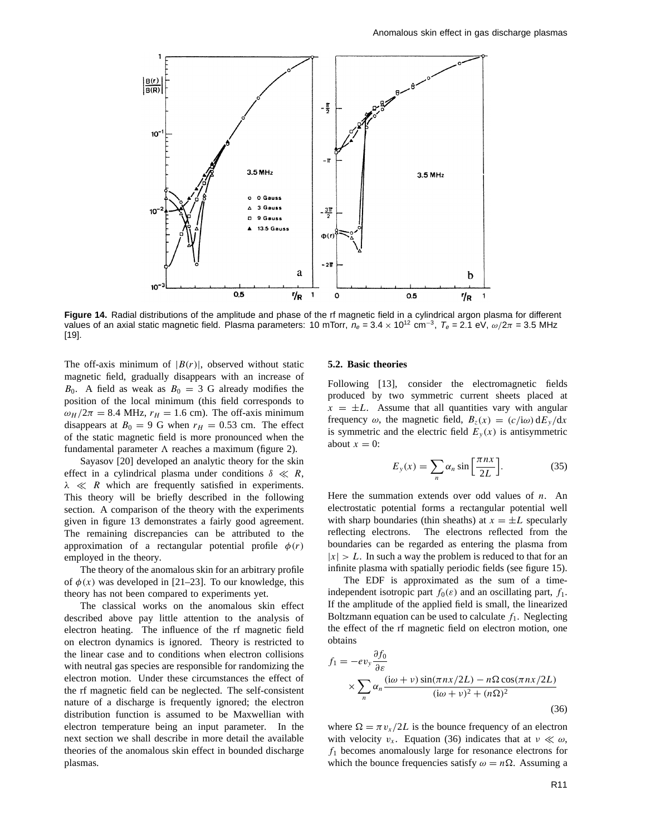

**Figure 14.** Radial distributions of the amplitude and phase of the rf magnetic field in a cylindrical argon plasma for different values of an axial static magnetic field. Plasma parameters: 10 mTorr,  $n_e = 3.4 \times 10^{12}$  cm<sup>-3</sup>,  $T_e = 2.1$  eV,  $\omega/2\pi = 3.5$  MHz [19].

The off-axis minimum of  $|B(r)|$ , observed without static magnetic field, gradually disappears with an increase of  $B_0$ . A field as weak as  $B_0 = 3$  G already modifies the position of the local minimum (this field corresponds to  $\omega_H/2\pi = 8.4$  MHz,  $r_H = 1.6$  cm). The off-axis minimum disappears at  $B_0 = 9$  G when  $r_H = 0.53$  cm. The effect of the static magnetic field is more pronounced when the fundamental parameter  $\Lambda$  reaches a maximum (figure 2).

Sayasov [20] developed an analytic theory for the skin effect in a cylindrical plasma under conditions  $\delta \ll R$ , *λ R* which are frequently satisfied in experiments. This theory will be briefly described in the following section. A comparison of the theory with the experiments given in figure 13 demonstrates a fairly good agreement. The remaining discrepancies can be attributed to the approximation of a rectangular potential profile  $\phi(r)$ employed in the theory.

The theory of the anomalous skin for an arbitrary profile of  $\phi(x)$  was developed in [21–23]. To our knowledge, this theory has not been compared to experiments yet.

The classical works on the anomalous skin effect described above pay little attention to the analysis of electron heating. The influence of the rf magnetic field on electron dynamics is ignored. Theory is restricted to the linear case and to conditions when electron collisions with neutral gas species are responsible for randomizing the electron motion. Under these circumstances the effect of the rf magnetic field can be neglected. The self-consistent nature of a discharge is frequently ignored; the electron distribution function is assumed to be Maxwellian with electron temperature being an input parameter. In the next section we shall describe in more detail the available theories of the anomalous skin effect in bounded discharge plasmas.

## **5.2. Basic theories**

Following [13], consider the electromagnetic fields produced by two symmetric current sheets placed at  $x = \pm L$ . Assume that all quantities vary with angular frequency  $\omega$ , the magnetic field,  $B_z(x) = (c/i\omega) dE_y/dx$ is symmetric and the electric field  $E_y(x)$  is antisymmetric about  $x = 0$ :

$$
E_y(x) = \sum_n \alpha_n \sin\left[\frac{\pi nx}{2L}\right].\tag{35}
$$

Here the summation extends over odd values of *n*. An electrostatic potential forms a rectangular potential well with sharp boundaries (thin sheaths) at  $x = \pm L$  specularly reflecting electrons. The electrons reflected from the The electrons reflected from the boundaries can be regarded as entering the plasma from  $|x| > L$ . In such a way the problem is reduced to that for an infinite plasma with spatially periodic fields (see figure 15).

The EDF is approximated as the sum of a timeindependent isotropic part  $f_0(\varepsilon)$  and an oscillating part,  $f_1$ . If the amplitude of the applied field is small, the linearized Boltzmann equation can be used to calculate  $f_1$ . Neglecting the effect of the rf magnetic field on electron motion, one obtains

$$
f_1 = -ev_y \frac{\partial f_0}{\partial \varepsilon}
$$
  
 
$$
\times \sum_{n} \alpha_n \frac{(\mathrm{i}\omega + \nu) \sin(\pi nx/2L) - n\Omega \cos(\pi nx/2L)}{(\mathrm{i}\omega + \nu)^2 + (n\Omega)^2}
$$
 (36)

where  $\Omega = \pi v_x/2L$  is the bounce frequency of an electron with velocity  $v_x$ . Equation (36) indicates that at  $v \ll \omega$ , *f*<sup>1</sup> becomes anomalously large for resonance electrons for which the bounce frequencies satisfy  $\omega = n\Omega$ . Assuming a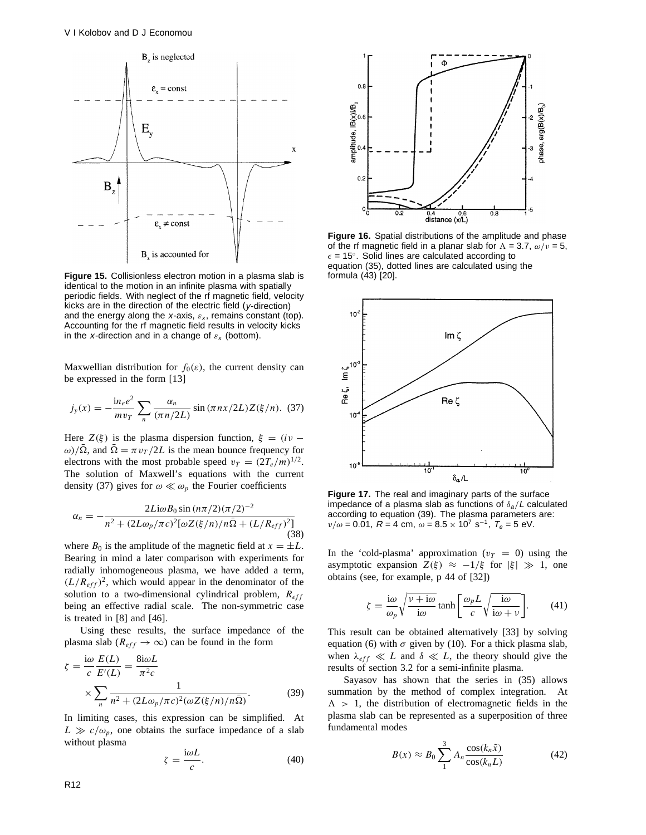

**Figure 15.** Collisionless electron motion in a plasma slab is identical to the motion in an infinite plasma with spatially periodic fields. With neglect of the rf magnetic field, velocity kicks are in the direction of the electric field (y-direction) and the energy along the x-axis,  $\varepsilon_x$ , remains constant (top). Accounting for the rf magnetic field results in velocity kicks in the *x*-direction and in a change of  $\varepsilon_x$  (bottom).

Maxwellian distribution for  $f_0(\varepsilon)$ , the current density can be expressed in the form [13]

$$
j_{y}(x) = -\frac{\text{i}n_{e}e^{2}}{mv_{T}}\sum_{n}\frac{\alpha_{n}}{(\pi n/2L)}\sin(\pi nx/2L)Z(\xi/n). \tag{37}
$$

Here  $Z(\xi)$  is the plasma dispersion function,  $\xi = (iv - \xi)$ *ω*)/ $\overline{\Omega}$ , and  $\overline{\Omega} = \pi v_T/2L$  is the mean bounce frequency for electrons with the most probable speed  $v_T = (2T_e/m)^{1/2}$ . The solution of Maxwell's equations with the current density (37) gives for  $\omega \ll \omega_p$  the Fourier coefficients

$$
\alpha_n = -\frac{2Li\omega B_0 \sin(n\pi/2)(\pi/2)^{-2}}{n^2 + (2L\omega_p/\pi c)^2[\omega Z(\xi/n)/n\bar{\Omega} + (L/R_{eff})^2]}
$$
(38)

where  $B_0$  is the amplitude of the magnetic field at  $x = \pm L$ . Bearing in mind a later comparison with experiments for radially inhomogeneous plasma, we have added a term,  $(L/R<sub>eff</sub>)<sup>2</sup>$ , which would appear in the denominator of the solution to a two-dimensional cylindrical problem, *Reff* being an effective radial scale. The non-symmetric case is treated in [8] and [46].

Using these results, the surface impedance of the plasma slab ( $R_{eff} \rightarrow \infty$ ) can be found in the form

$$
\zeta = \frac{\mathrm{i}\omega}{c} \frac{E(L)}{E'(L)} = \frac{8\mathrm{i}\omega L}{\pi^2 c}
$$

$$
\times \sum_{n} \frac{1}{n^2 + (2L\omega_p/\pi c)^2 (\omega Z(\xi/n)/n\overline{\Omega})}.
$$
(39)

In limiting cases, this expression can be simplified. At  $L \gg c/\omega_p$ , one obtains the surface impedance of a slab without plasma

$$
\zeta = \frac{\mathrm{i}\omega L}{c}.\tag{40}
$$



**Figure 16.** Spatial distributions of the amplitude and phase of the rf magnetic field in a planar slab for  $\Lambda = 3.7$ ,  $\omega/\nu = 5$ ,  $\epsilon$  = 15°. Solid lines are calculated according to equation (35), dotted lines are calculated using the formula (43) [20].



**Figure 17.** The real and imaginary parts of the surface impedance of a plasma slab as functions of *δ*a*/*<sup>L</sup> calculated according to equation (39). The plasma parameters are: *ν/ω* = 0.01, *R* = 4 cm, *ω* = 8.5 × 10<sup>7</sup> s<sup>−1</sup>, *T<sub>e</sub>* = 5 eV.

In the 'cold-plasma' approximation  $(v_T = 0)$  using the asymptotic expansion  $Z(\xi) \approx -1/\xi$  for  $|\xi| \gg 1$ , one obtains (see, for example, p 44 of [32])

$$
\zeta = \frac{\mathrm{i}\omega}{\omega_p} \sqrt{\frac{v + \mathrm{i}\omega}{\mathrm{i}\omega}} \tanh\left[\frac{\omega_p L}{c} \sqrt{\frac{\mathrm{i}\omega}{\mathrm{i}\omega + v}}\right].\tag{41}
$$

This result can be obtained alternatively [33] by solving equation (6) with  $\sigma$  given by (10). For a thick plasma slab, when  $\lambda_{eff} \ll L$  and  $\delta \ll L$ , the theory should give the results of section 3.2 for a semi-infinite plasma.

Sayasov has shown that the series in (35) allows summation by the method of complex integration. At  $\Lambda > 1$ , the distribution of electromagnetic fields in the plasma slab can be represented as a superposition of three fundamental modes

$$
B(x) \approx B_0 \sum_{1}^{3} A_n \frac{\cos(k_n \tilde{x})}{\cos(k_n L)}
$$
(42)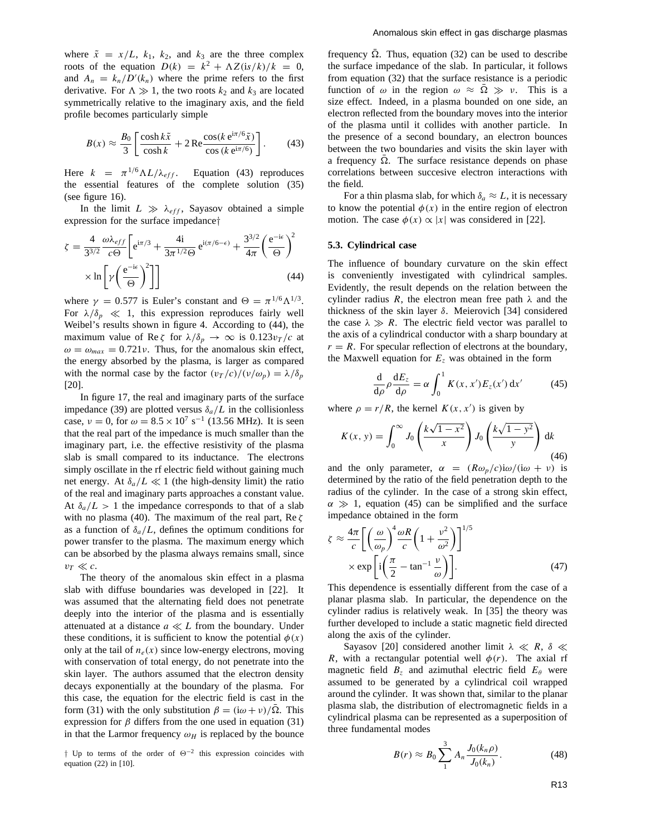where  $\tilde{x} = x/L$ ,  $k_1$ ,  $k_2$ , and  $k_3$  are the three complex roots of the equation  $D(k) = k^2 + \Lambda Z(i s/k)/k = 0$ , and  $A_n = k_n/D'(k_n)$  where the prime refers to the first derivative. For  $\Lambda \gg 1$ , the two roots  $k_2$  and  $k_3$  are located symmetrically relative to the imaginary axis, and the field profile becomes particularly simple

$$
B(x) \approx \frac{B_0}{3} \left[ \frac{\cosh k\tilde{x}}{\cosh k} + 2 \operatorname{Re} \frac{\cos(k e^{i\pi/6} \tilde{x})}{\cos(k e^{i\pi/6})} \right].
$$
 (43)

Here  $k = \pi^{1/6} \Lambda L / \lambda_{eff}$ . Equation (43) reproduces the essential features of the complete solution (35) (see figure 16).

In the limit  $L \gg \lambda_{eff}$ , Sayasov obtained a simple expression for the surface impedance*†*

$$
\zeta = \frac{4}{3^{3/2}} \frac{\omega \lambda_{eff}}{c\Theta} \left[ e^{i\pi/3} + \frac{4i}{3\pi^{1/2}\Theta} e^{i(\pi/6 - \epsilon)} + \frac{3^{3/2}}{4\pi} \left( \frac{e^{-i\epsilon}}{\Theta} \right)^2 \right] \times \ln \left[ \gamma \left( \frac{e^{-i\epsilon}}{\Theta} \right)^2 \right]
$$
(44)

where  $\gamma = 0.577$  is Euler's constant and  $\Theta = \pi^{1/6} \Lambda^{1/3}$ . For  $\lambda/\delta_p \ll 1$ , this expression reproduces fairly well Weibel's results shown in figure 4. According to (44), the maximum value of Re  $\zeta$  for  $\lambda/\delta_p \to \infty$  is  $0.123v_T/c$  at  $\omega = \omega_{max} = 0.721 \nu$ . Thus, for the anomalous skin effect, the energy absorbed by the plasma, is larger as compared with the normal case by the factor  $(v_T/c)/(v/\omega_p) = \lambda/\delta_p$ [20].

In figure 17, the real and imaginary parts of the surface impedance (39) are plotted versus  $\delta_a/L$  in the collisionless case,  $v = 0$ , for  $\omega = 8.5 \times 10^7 \text{ s}^{-1}$  (13.56 MHz). It is seen that the real part of the impedance is much smaller than the imaginary part, i.e. the effective resistivity of the plasma slab is small compared to its inductance. The electrons simply oscillate in the rf electric field without gaining much net energy. At  $\delta_a/L \ll 1$  (the high-density limit) the ratio of the real and imaginary parts approaches a constant value. At  $\delta_a/L > 1$  the impedance corresponds to that of a slab with no plasma (40). The maximum of the real part, Re *ζ* as a function of  $\delta_a/L$ , defines the optimum conditions for power transfer to the plasma. The maximum energy which can be absorbed by the plasma always remains small, since  $v_T \ll c$ .

The theory of the anomalous skin effect in a plasma slab with diffuse boundaries was developed in [22]. It was assumed that the alternating field does not penetrate deeply into the interior of the plasma and is essentially attenuated at a distance  $a \ll L$  from the boundary. Under these conditions, it is sufficient to know the potential  $\phi(x)$ only at the tail of  $n_e(x)$  since low-energy electrons, moving with conservation of total energy, do not penetrate into the skin layer. The authors assumed that the electron density decays exponentially at the boundary of the plasma. For this case, the equation for the electric field is cast in the form (31) with the only substitution  $β = (iω + ν)/Ω$ . This expression for  $\beta$  differs from the one used in equation (31) in that the Larmor frequency  $\omega_H$  is replaced by the bounce

*†* Up to terms of the order of *<sup>2</sup>*−<sup>2</sup> this expression coincides with equation (22) in [10].

frequency  $\overline{\Omega}$ . Thus, equation (32) can be used to describe the surface impedance of the slab. In particular, it follows from equation (32) that the surface resistance is a periodic function of  $\omega$  in the region  $\omega \approx \overline{\Omega} \gg v$ . This is a size effect. Indeed, in a plasma bounded on one side, an electron reflected from the boundary moves into the interior of the plasma until it collides with another particle. In the presence of a second boundary, an electron bounces between the two boundaries and visits the skin layer with a frequency  $\overline{\Omega}$ . The surface resistance depends on phase correlations between succesive electron interactions with the field.

For a thin plasma slab, for which  $\delta_a \approx L$ , it is necessary to know the potential  $\phi(x)$  in the entire region of electron motion. The case  $\phi(x) \propto |x|$  was considered in [22].

## **5.3. Cylindrical case**

The influence of boundary curvature on the skin effect is conveniently investigated with cylindrical samples. Evidently, the result depends on the relation between the cylinder radius *R*, the electron mean free path *λ* and the thickness of the skin layer *δ*. Meierovich [34] considered the case  $\lambda \gg R$ . The electric field vector was parallel to the axis of a cylindrical conductor with a sharp boundary at  $r = R$ . For specular reflection of electrons at the boundary, the Maxwell equation for  $E<sub>z</sub>$  was obtained in the form

$$
\frac{\mathrm{d}}{\mathrm{d}\rho}\rho\frac{\mathrm{d}E_z}{\mathrm{d}\rho} = \alpha \int_0^1 K(x, x')E_z(x')\,\mathrm{d}x' \tag{45}
$$

where  $\rho = r/R$ , the kernel  $K(x, x')$  is given by

$$
K(x, y) = \int_0^\infty J_0\left(\frac{k\sqrt{1 - x^2}}{x}\right) J_0\left(\frac{k\sqrt{1 - y^2}}{y}\right) \mathrm{d}k \tag{46}
$$

and the only parameter,  $\alpha = (R\omega_p/c)i\omega/(i\omega + \nu)$  is determined by the ratio of the field penetration depth to the radius of the cylinder. In the case of a strong skin effect,  $\alpha \gg 1$ , equation (45) can be simplified and the surface impedance obtained in the form

$$
\zeta \approx \frac{4\pi}{c} \left[ \left( \frac{\omega}{\omega_p} \right)^4 \frac{\omega R}{c} \left( 1 + \frac{v^2}{\omega^2} \right) \right]^{1/5}
$$

$$
\times \exp \left[ i \left( \frac{\pi}{2} - \tan^{-1} \frac{v}{\omega} \right) \right]. \tag{47}
$$

This dependence is essentially different from the case of a planar plasma slab. In particular, the dependence on the cylinder radius is relatively weak. In [35] the theory was further developed to include a static magnetic field directed along the axis of the cylinder.

Sayasov [20] considered another limit  $\lambda \ll R$ , δ  $\ll$ *R*, with a rectangular potential well  $\phi(r)$ . The axial rf magnetic field  $B_z$  and azimuthal electric field  $E_\theta$  were assumed to be generated by a cylindrical coil wrapped around the cylinder. It was shown that, similar to the planar plasma slab, the distribution of electromagnetic fields in a cylindrical plasma can be represented as a superposition of three fundamental modes

$$
B(r) \approx B_0 \sum_{1}^{3} A_n \frac{J_0(k_n \rho)}{J_0(k_n)}.
$$
 (48)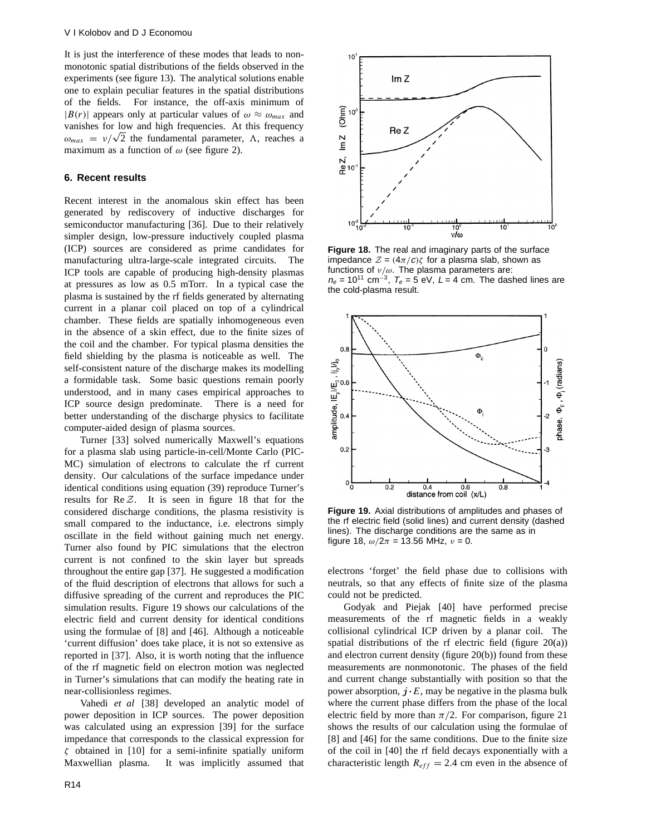It is just the interference of these modes that leads to nonmonotonic spatial distributions of the fields observed in the experiments (see figure 13). The analytical solutions enable one to explain peculiar features in the spatial distributions of the fields. For instance, the off-axis minimum of  $|B(r)|$  appears only at particular values of  $\omega \approx \omega_{max}$  and vanishes for low and high frequencies. At this frequency  $\omega_{max} = v/\sqrt{2}$  the fundamental parameter,  $\Lambda$ , reaches a maximum as a function of  $\omega$  (see figure 2).

## **6. Recent results**

Recent interest in the anomalous skin effect has been generated by rediscovery of inductive discharges for semiconductor manufacturing [36]. Due to their relatively simpler design, low-pressure inductively coupled plasma (ICP) sources are considered as prime candidates for manufacturing ultra-large-scale integrated circuits. The ICP tools are capable of producing high-density plasmas at pressures as low as 0.5 mTorr. In a typical case the plasma is sustained by the rf fields generated by alternating current in a planar coil placed on top of a cylindrical chamber. These fields are spatially inhomogeneous even in the absence of a skin effect, due to the finite sizes of the coil and the chamber. For typical plasma densities the field shielding by the plasma is noticeable as well. The self-consistent nature of the discharge makes its modelling a formidable task. Some basic questions remain poorly understood, and in many cases empirical approaches to ICP source design predominate. There is a need for better understanding of the discharge physics to facilitate computer-aided design of plasma sources.

Turner [33] solved numerically Maxwell's equations for a plasma slab using particle-in-cell/Monte Carlo (PIC-MC) simulation of electrons to calculate the rf current density. Our calculations of the surface impedance under identical conditions using equation (39) reproduce Turner's results for Re *Z*. It is seen in figure 18 that for the considered discharge conditions, the plasma resistivity is small compared to the inductance, i.e. electrons simply oscillate in the field without gaining much net energy. Turner also found by PIC simulations that the electron current is not confined to the skin layer but spreads throughout the entire gap [37]. He suggested a modification of the fluid description of electrons that allows for such a diffusive spreading of the current and reproduces the PIC simulation results. Figure 19 shows our calculations of the electric field and current density for identical conditions using the formulae of [8] and [46]. Although a noticeable 'current diffusion' does take place, it is not so extensive as reported in [37]. Also, it is worth noting that the influence of the rf magnetic field on electron motion was neglected in Turner's simulations that can modify the heating rate in near-collisionless regimes.

Vahedi *et al* [38] developed an analytic model of power deposition in ICP sources. The power deposition was calculated using an expression [39] for the surface impedance that corresponds to the classical expression for *ζ* obtained in [10] for a semi-infinite spatially uniform Maxwellian plasma. It was implicitly assumed that



**Figure 18.** The real and imaginary parts of the surface impedance  $Z = (4\pi/c)\zeta$  for a plasma slab, shown as functions of *ν/ω*. The plasma parameters are:  $n_e = 10^{11}$  cm<sup>-3</sup>,  $T_e = 5$  eV, L = 4 cm. The dashed lines are the cold-plasma result.



**Figure 19.** Axial distributions of amplitudes and phases of the rf electric field (solid lines) and current density (dashed lines). The discharge conditions are the same as in figure 18, *ω/*2*π* = 13*.*56 MHz, *ν* = 0.

electrons 'forget' the field phase due to collisions with neutrals, so that any effects of finite size of the plasma could not be predicted.

Godyak and Piejak [40] have performed precise measurements of the rf magnetic fields in a weakly collisional cylindrical ICP driven by a planar coil. The spatial distributions of the rf electric field (figure 20(a)) and electron current density (figure 20(b)) found from these measurements are nonmonotonic. The phases of the field and current change substantially with position so that the power absorption,  $j \cdot E$ , may be negative in the plasma bulk where the current phase differs from the phase of the local electric field by more than  $\pi/2$ . For comparison, figure 21 shows the results of our calculation using the formulae of [8] and [46] for the same conditions. Due to the finite size of the coil in [40] the rf field decays exponentially with a characteristic length  $R_{eff} = 2.4$  cm even in the absence of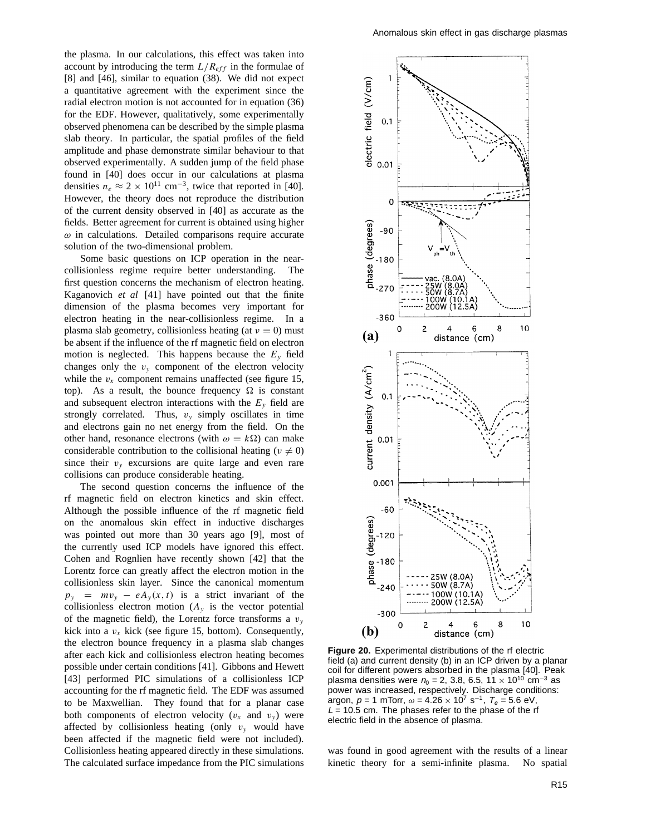the plasma. In our calculations, this effect was taken into account by introducing the term  $L/R_{eff}$  in the formulae of [8] and [46], similar to equation (38). We did not expect a quantitative agreement with the experiment since the radial electron motion is not accounted for in equation (36) for the EDF. However, qualitatively, some experimentally observed phenomena can be described by the simple plasma slab theory. In particular, the spatial profiles of the field amplitude and phase demonstrate similar behaviour to that observed experimentally. A sudden jump of the field phase found in [40] does occur in our calculations at plasma densities  $n_e \approx 2 \times 10^{11}$  cm<sup>-3</sup>, twice that reported in [40]. However, the theory does not reproduce the distribution of the current density observed in [40] as accurate as the fields. Better agreement for current is obtained using higher *ω* in calculations. Detailed comparisons require accurate solution of the two-dimensional problem.

Some basic questions on ICP operation in the nearcollisionless regime require better understanding. The first question concerns the mechanism of electron heating. Kaganovich *et al* [41] have pointed out that the finite dimension of the plasma becomes very important for electron heating in the near-collisionless regime. In a plasma slab geometry, collisionless heating (at  $\nu = 0$ ) must be absent if the influence of the rf magnetic field on electron motion is neglected. This happens because the  $E_y$  field changes only the  $v_y$  component of the electron velocity while the  $v_x$  component remains unaffected (see figure 15, top). As a result, the bounce frequency  $\Omega$  is constant and subsequent electron interactions with the *Ey* field are strongly correlated. Thus,  $v_y$  simply oscillates in time and electrons gain no net energy from the field. On the other hand, resonance electrons (with  $\omega = k\Omega$ ) can make considerable contribution to the collisional heating ( $\nu \neq 0$ ) since their  $v_y$  excursions are quite large and even rare collisions can produce considerable heating.

The second question concerns the influence of the rf magnetic field on electron kinetics and skin effect. Although the possible influence of the rf magnetic field on the anomalous skin effect in inductive discharges was pointed out more than 30 years ago [9], most of the currently used ICP models have ignored this effect. Cohen and Rognlien have recently shown [42] that the Lorentz force can greatly affect the electron motion in the collisionless skin layer. Since the canonical momentum  $p_y$  =  $mv_y$  –  $eA_y(x, t)$  is a strict invariant of the collisionless electron motion  $(A<sub>y</sub>)$  is the vector potential of the magnetic field), the Lorentz force transforms a  $v_y$ kick into a  $v_x$  kick (see figure 15, bottom). Consequently, the electron bounce frequency in a plasma slab changes after each kick and collisionless electron heating becomes possible under certain conditions [41]. Gibbons and Hewett [43] performed PIC simulations of a collisionless ICP accounting for the rf magnetic field. The EDF was assumed to be Maxwellian. They found that for a planar case both components of electron velocity  $(v_x$  and  $v_y)$  were affected by collisionless heating (only  $v_y$  would have been affected if the magnetic field were not included). Collisionless heating appeared directly in these simulations. The calculated surface impedance from the PIC simulations



**Figure 20.** Experimental distributions of the rf electric field (a) and current density (b) in an ICP driven by a planar coil for different powers absorbed in the plasma [40]. Peak plasma densities were  $n_0 = 2$ , 3.8, 6.5, 11 × 10<sup>10</sup> cm<sup>-3</sup> as power was increased, respectively. Discharge conditions: argon,  $p = 1$  mTorr,  $\omega = 4.26 \times 10^7$  s<sup>-1</sup>,  $T_e = 5.6$  eV,  $L = 10.5$  cm. The phases refer to the phase of the rf electric field in the absence of plasma.

was found in good agreement with the results of a linear kinetic theory for a semi-infinite plasma. No spatial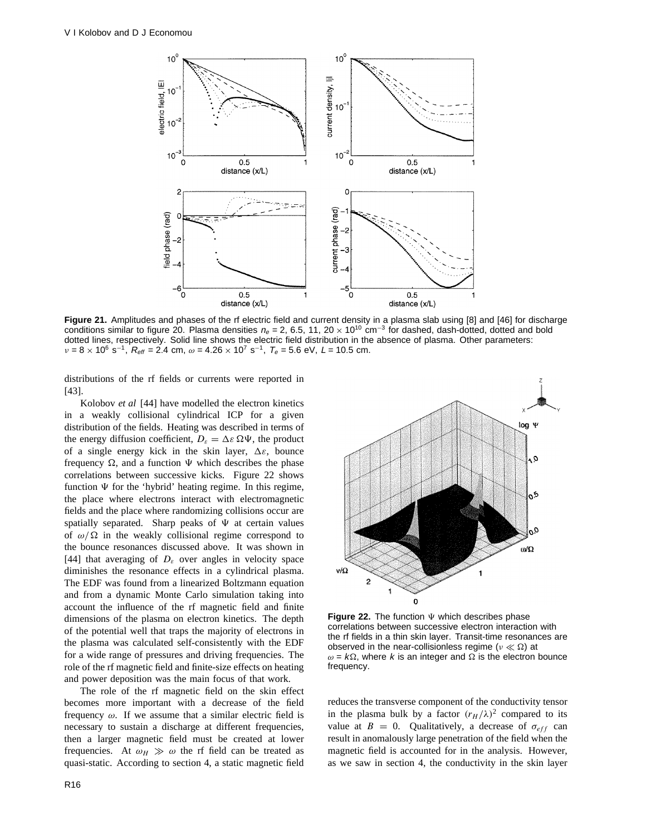

**Figure 21.** Amplitudes and phases of the rf electric field and current density in a plasma slab using [8] and [46] for discharge conditions similar to figure 20. Plasma densities  $n_e = 2$ , 6.5, 11, 20 × 10<sup>10</sup> cm<sup>-3</sup> for dashed, dash-dotted, dotted and bold dotted lines, respectively. Solid line shows the electric field distribution in the absence of plasma. Other parameters:  $\nu = 8 \times 10^6$  s<sup>-1</sup>,  $R_{\text{eff}} = 2.4$  cm,  $\omega = 4.26 \times 10^7$  s<sup>-1</sup>,  $T_e = 5.6$  eV, L = 10.5 cm.

distributions of the rf fields or currents were reported in [43].

Kolobov *et al* [44] have modelled the electron kinetics in a weakly collisional cylindrical ICP for a given distribution of the fields. Heating was described in terms of the energy diffusion coefficient,  $D_{\varepsilon} = \Delta \varepsilon \Omega \Psi$ , the product of a single energy kick in the skin layer, *1ε*, bounce frequency  $\Omega$ , and a function  $\Psi$  which describes the phase correlations between successive kicks. Figure 22 shows function  $\Psi$  for the 'hybrid' heating regime. In this regime, the place where electrons interact with electromagnetic fields and the place where randomizing collisions occur are spatially separated. Sharp peaks of  $\Psi$  at certain values of  $\omega/\Omega$  in the weakly collisional regime correspond to the bounce resonances discussed above. It was shown in [44] that averaging of  $D<sub>s</sub>$  over angles in velocity space diminishes the resonance effects in a cylindrical plasma. The EDF was found from a linearized Boltzmann equation and from a dynamic Monte Carlo simulation taking into account the influence of the rf magnetic field and finite dimensions of the plasma on electron kinetics. The depth of the potential well that traps the majority of electrons in the plasma was calculated self-consistently with the EDF for a wide range of pressures and driving frequencies. The role of the rf magnetic field and finite-size effects on heating and power deposition was the main focus of that work.

The role of the rf magnetic field on the skin effect becomes more important with a decrease of the field frequency *ω*. If we assume that a similar electric field is necessary to sustain a discharge at different frequencies, then a larger magnetic field must be created at lower frequencies. At  $\omega_H \gg \omega$  the rf field can be treated as quasi-static. According to section 4, a static magnetic field



**Figure 22.** The function  $\Psi$  which describes phase correlations between successive electron interaction with the rf fields in a thin skin layer. Transit-time resonances are observed in the near-collisionless regime ( $\nu \ll \Omega$ ) at  $\omega = k\Omega$ , where k is an integer and  $\Omega$  is the electron bounce frequency.

reduces the transverse component of the conductivity tensor in the plasma bulk by a factor  $(r_H/\lambda)^2$  compared to its value at  $B = 0$ . Qualitatively, a decrease of  $\sigma_{eff}$  can result in anomalously large penetration of the field when the magnetic field is accounted for in the analysis. However, as we saw in section 4, the conductivity in the skin layer